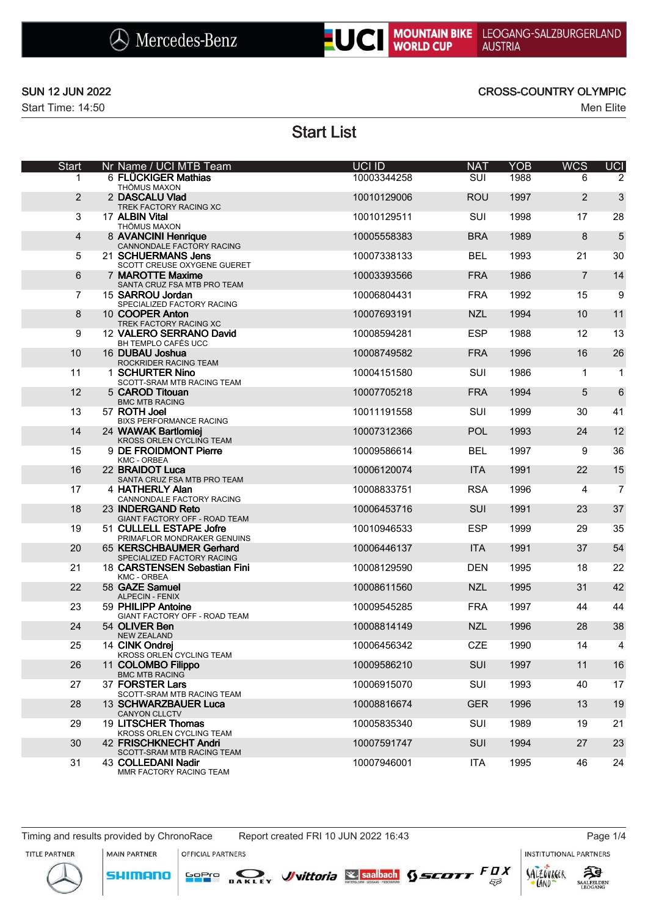



## SUN 12 JUN 2022 CROSS-COUNTRY OLYMPIC

# Start List

| <b>Start</b> |                | Nr Name / UCI MTB Team                                                      | UCI ID      | <b>NAT</b> | <b>YOB</b> | <b>WCS</b>     | <b>UCI</b>     |
|--------------|----------------|-----------------------------------------------------------------------------|-------------|------------|------------|----------------|----------------|
|              | 1              | 6 FLÜCKIGER Mathias<br>THÖMUS MAXON                                         | 10003344258 | SUI        | 1988       | 6              | 2              |
|              | $\overline{2}$ | 2 DASCALU Vlad<br>TREK FACTORY RACING XC                                    | 10010129006 | <b>ROU</b> | 1997       | 2              | 3              |
|              | 3              | 17 ALBIN Vital<br>THÖMUS MAXON                                              | 10010129511 | SUI        | 1998       | 17             | 28             |
|              | $\overline{4}$ | 8 AVANCINI Henrique<br>CANNONDALE FACTORY RACING                            | 10005558383 | <b>BRA</b> | 1989       | 8              | 5              |
|              | 5              | 21 SCHUERMANS Jens<br>SCOTT CREUSE OXYGENE GUERET                           | 10007338133 | <b>BEL</b> | 1993       | 21             | 30             |
|              | 6              | 7 MAROTTE Maxime<br>SANTA CRUZ FSA MTB PRO TEAM                             | 10003393566 | <b>FRA</b> | 1986       | $\overline{7}$ | 14             |
|              | 7              | 15 SARROU Jordan<br>SPECIALIZED FACTORY RACING                              | 10006804431 | <b>FRA</b> | 1992       | 15             | 9              |
|              | 8              | 10 COOPER Anton<br>TREK FACTORY RACING XC                                   | 10007693191 | <b>NZL</b> | 1994       | 10             | 11             |
|              | 9              | 12 VALERO SERRANO David<br>BH TEMPLO CAFÉS UCC                              | 10008594281 | <b>ESP</b> | 1988       | 12             | 13             |
|              | 10             | 16 DUBAU Joshua<br>ROCKRIDER RACING TEAM                                    | 10008749582 | <b>FRA</b> | 1996       | 16             | 26             |
|              | 11             | 1 SCHURTER Nino<br>SCOTT-SRAM MTB RACING TEAM                               | 10004151580 | SUI        | 1986       | 1              | $\mathbf{1}$   |
|              | 12             | 5 CAROD Titouan<br><b>BMC MTB RACING</b>                                    | 10007705218 | <b>FRA</b> | 1994       | 5              | 6              |
|              | 13             | 57 ROTH Joel<br><b>BIXS PERFORMANCE RACING</b>                              | 10011191558 | SUI        | 1999       | 30             | 41             |
|              | 14             | 24 WAWAK Bartlomiej<br><b>KROSS ORLEN CYCLING TEAM</b>                      | 10007312366 | <b>POL</b> | 1993       | 24             | 12             |
|              | 15             | 9 DE FROIDMONT Pierre<br>KMC - ORBEA                                        | 10009586614 | <b>BEL</b> | 1997       | 9              | 36             |
|              | 16             | 22 BRAIDOT Luca<br>SANTA CRUZ FSA MTB PRO TEAM                              | 10006120074 | <b>ITA</b> | 1991       | 22             | 15             |
|              | 17             | 4 HATHERLY Alan<br>CANNONDALE FACTORY RACING                                | 10008833751 | <b>RSA</b> | 1996       | 4              | $\overline{7}$ |
|              | 18             | 23 INDERGAND Reto<br>GIANT FACTORY OFF - ROAD TEAM                          | 10006453716 | <b>SUI</b> | 1991       | 23             | 37             |
|              | 19             | 51 CULLELL ESTAPE Jofre<br>PRIMAFLOR MONDRAKER GENUINS                      | 10010946533 | <b>ESP</b> | 1999       | 29             | 35             |
|              | 20             | 65 KERSCHBAUMER Gerhard<br>SPECIALIZED FACTORY RACING                       | 10006446137 | <b>ITA</b> | 1991       | 37             | 54             |
|              | 21             | 18 CARSTENSEN Sebastian Fini<br>KMC - ORBEA                                 | 10008129590 | <b>DEN</b> | 1995       | 18             | 22             |
|              | 22             | 58 GAZE Samuel<br><b>ALPECIN - FENIX</b>                                    | 10008611560 | <b>NZL</b> | 1995       | 31             | 42             |
|              | 23             | 59 PHILIPP Antoine<br>GIANT FACTORY OFF - ROAD TEAM                         | 10009545285 | <b>FRA</b> | 1997       | 44             | 44             |
|              | 24             | 54 OLIVER Ben<br><b>NEW ZEALAND</b>                                         | 10008814149 | <b>NZL</b> | 1996       | 28             | 38             |
|              | 25             | 14 CINK Ondrej<br>KROSS ORLEN CYCLING TEAM                                  | 10006456342 | CZE        | 1990       | 14             | 4              |
|              | 26             | 11 COLOMBO Filippo<br><b>BMC MTB RACING</b>                                 | 10009586210 | <b>SUI</b> | 1997       | 11             | 16             |
|              | 27             | 37 FORSTER Lars<br>SCOTT-SRAM MTB RACING TEAM                               | 10006915070 | SUI        | 1993       | 40             | 17             |
|              | 28             | 13 SCHWARZBAUER Luca<br><b>CANYON CLLCTV</b>                                | 10008816674 | <b>GER</b> | 1996       | 13             | 19             |
|              | 29             | 19 LITSCHER Thomas<br>KROSS ORLEN CYCLING TEAM                              | 10005835340 | SUI        | 1989       | 19             | 21             |
|              | 30             | 42 FRISCHKNECHT Andri                                                       | 10007591747 | <b>SUI</b> | 1994       | 27             | 23             |
|              | 31             | SCOTT-SRAM MTB RACING TEAM<br>43 COLLEDANI Nadir<br>MMR FACTORY RACING TEAM | 10007946001 | <b>ITA</b> | 1995       | 46             | 24             |

Timing and results provided by ChronoRace Report created FRI 10 JUN 2022 16:43 Page 1/4

MAIN PARTNER

**SHIMANO** 

OFFICIAL PARTNERS

**INSTITUTIONAL PARTNERS** 







LAND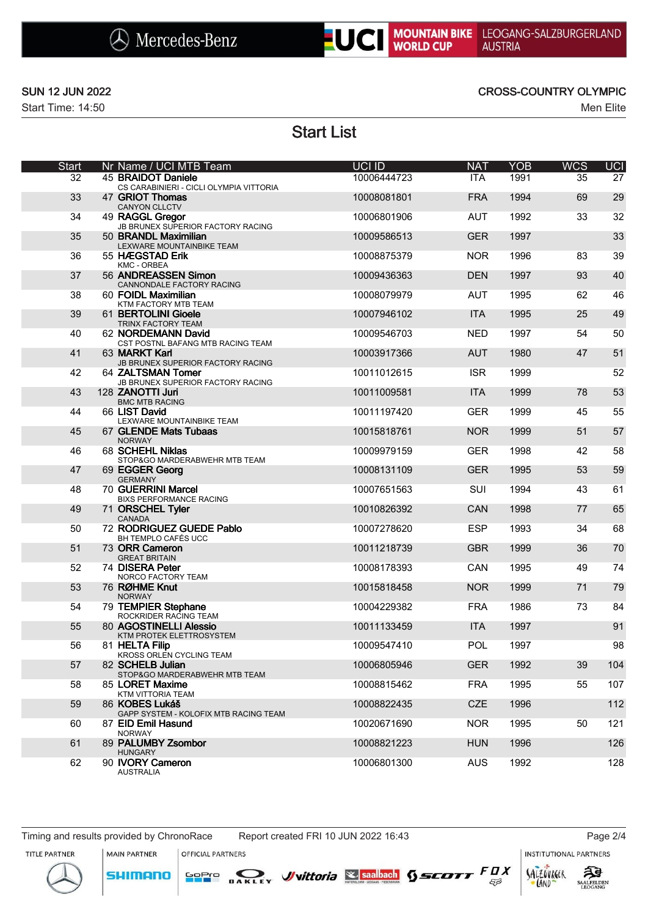



### SUN 12 JUN 2022 CROSS-COUNTRY OLYMPIC

# Start List

| <b>Start</b> | Nr Name / UCI MTB Team                                                                      | UCI ID      | <b>NAT</b> | <b>YOB</b> | <b>WCS</b> | <b>UCI</b> |
|--------------|---------------------------------------------------------------------------------------------|-------------|------------|------------|------------|------------|
| 32           | 45 BRAIDOT Daniele<br>CS CARABINIERI - CICLI OLYMPIA VITTORIA                               | 10006444723 | <b>ITA</b> | 1991       | 35         | 27         |
| 33           | 47 GRIOT Thomas<br>CANYON CLLCTV                                                            | 10008081801 | <b>FRA</b> | 1994       | 69         | 29         |
| 34           | 49 RAGGL Gregor<br>JB BRUNEX SUPERIOR FACTORY RACING                                        | 10006801906 | <b>AUT</b> | 1992       | 33         | 32         |
| 35           | 50 BRANDL Maximilian<br>LEXWARE MOUNTAINBIKE TEAM                                           | 10009586513 | <b>GER</b> | 1997       |            | 33         |
| 36           | 55 HÆGSTAD Erik<br><b>KMC - ORBEA</b>                                                       | 10008875379 | <b>NOR</b> | 1996       | 83         | 39         |
| 37           | 56 ANDREASSEN Simon<br>CANNONDALE FACTORY RACING                                            | 10009436363 | <b>DEN</b> | 1997       | 93         | 40         |
| 38           | 60 FOIDL Maximilian<br>KTM FACTORY MTB TEAM                                                 | 10008079979 | <b>AUT</b> | 1995       | 62         | 46         |
| 39           | 61 BERTOLINI Gioele                                                                         | 10007946102 | <b>ITA</b> | 1995       | 25         | 49         |
| 40           | TRINX FACTORY TEAM<br>62 NORDEMANN David<br>CST POSTNL BAFANG MTB RACING TEAM               | 10009546703 | NED        | 1997       | 54         | 50         |
| 41           | 63 MARKT Karl                                                                               | 10003917366 | <b>AUT</b> | 1980       | 47         | 51         |
| 42           | JB BRUNEX SUPERIOR FACTORY RACING<br>64 ZALTSMAN Tomer<br>JB BRUNEX SUPERIOR FACTORY RACING | 10011012615 | <b>ISR</b> | 1999       |            | 52         |
| 43           | 128 ZANOTTI Juri<br><b>BMC MTB RACING</b>                                                   | 10011009581 | <b>ITA</b> | 1999       | 78         | 53         |
| 44           | 66 LIST David<br>LEXWARE MOUNTAINBIKE TEAM                                                  | 10011197420 | <b>GER</b> | 1999       | 45         | 55         |
| 45           | 67 GLENDE Mats Tubaas<br><b>NORWAY</b>                                                      | 10015818761 | <b>NOR</b> | 1999       | 51         | 57         |
| 46           | 68 SCHEHL Niklas<br>STOP&GO MARDERABWEHR MTB TEAM                                           | 10009979159 | <b>GER</b> | 1998       | 42         | 58         |
| 47           | 69 EGGER Georg<br><b>GERMANY</b>                                                            | 10008131109 | <b>GER</b> | 1995       | 53         | 59         |
| 48           | 70 GUERRINI Marcel<br><b>BIXS PERFORMANCE RACING</b>                                        | 10007651563 | SUI        | 1994       | 43         | 61         |
| 49           | 71 ORSCHEL Tyler<br>CANADA                                                                  | 10010826392 | CAN        | 1998       | 77         | 65         |
| 50           | 72 RODRIGUEZ GUEDE Pablo<br>BH TEMPLO CAFÉS UCC                                             | 10007278620 | <b>ESP</b> | 1993       | 34         | 68         |
| 51           | 73 ORR Cameron<br><b>GREAT BRITAIN</b>                                                      | 10011218739 | <b>GBR</b> | 1999       | 36         | 70         |
| 52           | 74 DISERA Peter<br>NORCO FACTORY TEAM                                                       | 10008178393 | CAN        | 1995       | 49         | 74         |
| 53           | 76 RØHME Knut<br><b>NORWAY</b>                                                              | 10015818458 | <b>NOR</b> | 1999       | 71         | 79         |
| 54           | 79 TEMPIER Stephane<br>ROCKRIDER RACING TEAM                                                | 10004229382 | <b>FRA</b> | 1986       | 73         | 84         |
| 55           | 80 AGOSTINELLI Alessio<br>KTM PROTEK ELETTROSYSTEM                                          | 10011133459 | <b>ITA</b> | 1997       |            | 91         |
| 56           | 81 HELTA Filip<br>KROSS ORLEN CYCLING TEAM                                                  | 10009547410 | <b>POL</b> | 1997       |            | 98         |
| 57           | 82 SCHELB Julian<br>STOP&GO MARDERABWEHR MTB TEAM                                           | 10006805946 | <b>GER</b> | 1992       | 39         | 104        |
| 58           | 85 LORET Maxime<br>KTM VITTORIA TEAM                                                        | 10008815462 | <b>FRA</b> | 1995       | 55         | 107        |
| 59           | 86 KOBES Lukáš<br>GAPP SYSTEM - KOLOFIX MTB RACING TEAM                                     | 10008822435 | <b>CZE</b> | 1996       |            | 112        |
| 60           | 87 EID Emil Hasund<br><b>NORWAY</b>                                                         | 10020671690 | <b>NOR</b> | 1995       | 50         | 121        |
| 61           | 89 PALUMBY Zsombor                                                                          | 10008821223 | <b>HUN</b> | 1996       |            | 126        |
| 62           | <b>HUNGARY</b><br>90 IVORY Cameron<br>AUSTRALIA                                             | 10006801300 | <b>AUS</b> | 1992       |            | 128        |

Timing and results provided by ChronoRace Report created FRI 10 JUN 2022 16:43 Page 2/4

MAIN PARTNER

**SHIMANO** 

OFFICIAL PARTNERS

**INSTITUTIONAL PARTNERS** 





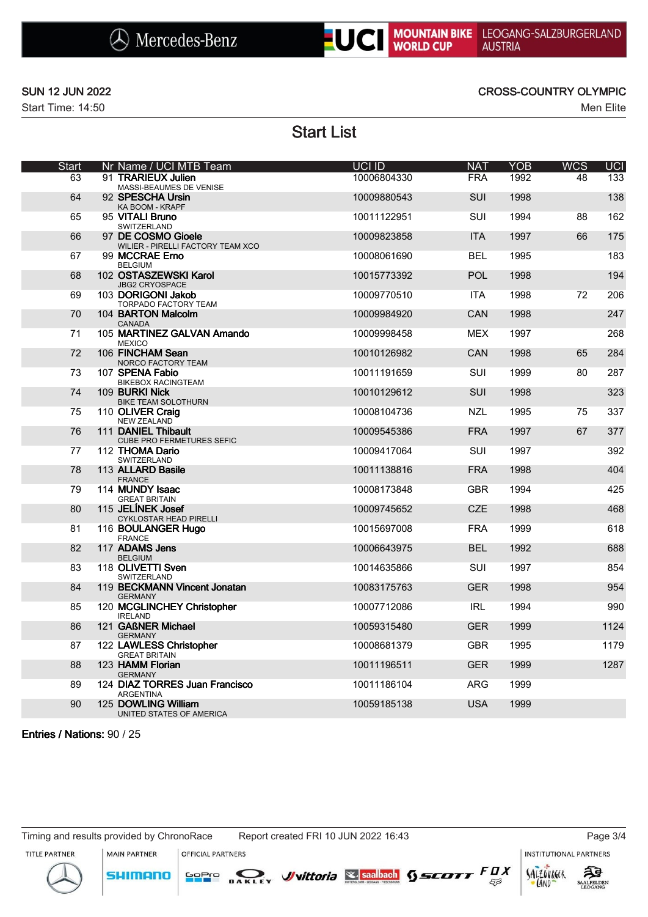



## SUN 12 JUN 2022 CROSS-COUNTRY OLYMPIC

# Start List

| <b>Start</b> | Nr Name / UCI MTB Team                                  | UCI ID      | <b>NAT</b> | <b>YOB</b> | <b>WCS</b> | UCI  |
|--------------|---------------------------------------------------------|-------------|------------|------------|------------|------|
| 63           | 91 TRARIEUX Julien<br>MASSI-BEAUMES DE VENISE           | 10006804330 | <b>FRA</b> | 1992       | 48         | 133  |
| 64           | 92 SPESCHA Ursin<br>KA BOOM - KRAPF                     | 10009880543 | <b>SUI</b> | 1998       |            | 138  |
| 65           | 95 VITALI Bruno<br>SWITZERLAND                          | 10011122951 | SUI        | 1994       | 88         | 162  |
| 66           | 97 DE COSMO Gioele<br>WILIER - PIRELLI FACTORY TEAM XCO | 10009823858 | <b>ITA</b> | 1997       | 66         | 175  |
| 67           | 99 MCCRAE Erno<br><b>BELGIUM</b>                        | 10008061690 | <b>BEL</b> | 1995       |            | 183  |
| 68           | 102 OSTASZEWSKI Karol<br><b>JBG2 CRYOSPACE</b>          | 10015773392 | <b>POL</b> | 1998       |            | 194  |
| 69           | 103 DORIGONI Jakob<br>TORPADO FACTORY TEAM              | 10009770510 | <b>ITA</b> | 1998       | 72         | 206  |
| 70           | 104 BARTON Malcolm<br><b>CANADA</b>                     | 10009984920 | CAN        | 1998       |            | 247  |
| 71           | 105 MARTINEZ GALVAN Amando<br><b>MEXICO</b>             | 10009998458 | <b>MEX</b> | 1997       |            | 268  |
| 72           | 106 FINCHAM Sean<br>NORCO FACTORY TEAM                  | 10010126982 | CAN        | 1998       | 65         | 284  |
| 73           | 107 SPENA Fabio<br><b>BIKEBOX RACINGTEAM</b>            | 10011191659 | SUI        | 1999       | 80         | 287  |
| 74           | 109 BURKI Nick<br><b>BIKE TEAM SOLOTHURN</b>            | 10010129612 | <b>SUI</b> | 1998       |            | 323  |
| 75           | 110 OLIVER Craig<br><b>NEW ZEALAND</b>                  | 10008104736 | <b>NZL</b> | 1995       | 75         | 337  |
| 76           | 111 DANIEL Thibault<br><b>CUBE PRO FERMETURES SEFIC</b> | 10009545386 | <b>FRA</b> | 1997       | 67         | 377  |
| 77           | 112 THOMA Dario<br>SWITZERLAND                          | 10009417064 | SUI        | 1997       |            | 392  |
| 78           | 113 ALLARD Basile<br><b>FRANCE</b>                      | 10011138816 | <b>FRA</b> | 1998       |            | 404  |
| 79           | 114 MUNDY Isaac<br><b>GREAT BRITAIN</b>                 | 10008173848 | <b>GBR</b> | 1994       |            | 425  |
| 80           | 115 JELINEK Josef<br>CYKLOSTAR HEAD PIRELLI             | 10009745652 | <b>CZE</b> | 1998       |            | 468  |
| 81           | 116 BOULANGER Hugo<br><b>FRANCE</b>                     | 10015697008 | <b>FRA</b> | 1999       |            | 618  |
| 82           | 117 ADAMS Jens<br><b>BELGIUM</b>                        | 10006643975 | <b>BEL</b> | 1992       |            | 688  |
| 83           | 118 OLIVETTI Sven<br>SWITZERLAND                        | 10014635866 | SUI        | 1997       |            | 854  |
| 84           | 119 BECKMANN Vincent Jonatan<br><b>GERMANY</b>          | 10083175763 | <b>GER</b> | 1998       |            | 954  |
| 85           | 120 MCGLINCHEY Christopher<br><b>IRELAND</b>            | 10007712086 | <b>IRL</b> | 1994       |            | 990  |
| 86           | 121 GAßNER Michael<br><b>GERMANY</b>                    | 10059315480 | GER.       | 1999       |            | 1124 |
| 87           | 122 LAWLESS Christopher<br><b>GREAT BRITAIN</b>         | 10008681379 | <b>GBR</b> | 1995       |            | 1179 |
| 88           | 123 HAMM Florian<br><b>GERMANY</b>                      | 10011196511 | <b>GER</b> | 1999       |            | 1287 |
| 89           | 124 DIAZ TORRES Juan Francisco<br><b>ARGENTINA</b>      | 10011186104 | <b>ARG</b> | 1999       |            |      |
| 90           | 125 DOWLING William<br>UNITED STATES OF AMERICA         | 10059185138 | <b>USA</b> | 1999       |            |      |
|              |                                                         |             |            |            |            |      |

Entries / Nations: 90 / 25

Timing and results provided by ChronoRace Report created FRI 10 JUN 2022 16:43 Page 3/4

**OFFICIAL PARTNERS** 

MAIN PARTNER

**SHIMANO** 

**INSTITUTIONAL PARTNERS**